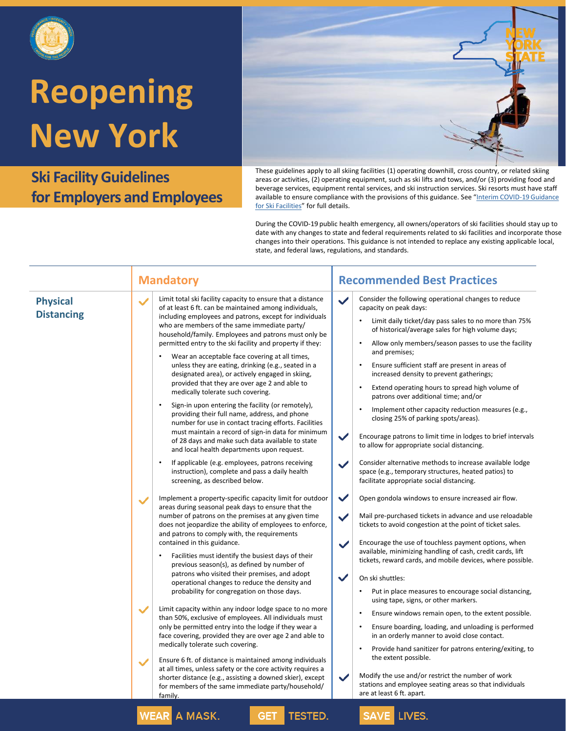

**Ski Facility Guidelines for Employers and Employees**



These guidelines apply to all skiing facilities (1) operating downhill, cross country, or related skiing areas or activities, (2) operating equipment, such as ski lifts and tows, and/or (3) providing food and beverage services, equipment rental services, and ski instruction services. Ski resorts must have staff [available to ensure compliance with the provisions of this guidance](https://www.governor.ny.gov/sites/governor.ny.gov/files/atoms/files/Ski_Facilities_Master_Guidelines.pdf). See "Interim COVID-19 Guidance for Ski Facilities" for full details.

|                                      | <b>Mandatory</b>                                                                                                                                                                                                                                                                                                                                                                                                                                                                                                                                                                                                                                                                                                                                                                                                                                                                                                                                                                                                                                                                                                   | <b>Recommended Best Practices</b>                                                                                                                                                                                                                                                                                                                                                                                                                                                                                                                                                                                                                                                                                                                                                                                                                                                                                                                                                          |
|--------------------------------------|--------------------------------------------------------------------------------------------------------------------------------------------------------------------------------------------------------------------------------------------------------------------------------------------------------------------------------------------------------------------------------------------------------------------------------------------------------------------------------------------------------------------------------------------------------------------------------------------------------------------------------------------------------------------------------------------------------------------------------------------------------------------------------------------------------------------------------------------------------------------------------------------------------------------------------------------------------------------------------------------------------------------------------------------------------------------------------------------------------------------|--------------------------------------------------------------------------------------------------------------------------------------------------------------------------------------------------------------------------------------------------------------------------------------------------------------------------------------------------------------------------------------------------------------------------------------------------------------------------------------------------------------------------------------------------------------------------------------------------------------------------------------------------------------------------------------------------------------------------------------------------------------------------------------------------------------------------------------------------------------------------------------------------------------------------------------------------------------------------------------------|
| <b>Physical</b><br><b>Distancing</b> | Limit total ski facility capacity to ensure that a distance<br>of at least 6 ft. can be maintained among individuals,<br>including employees and patrons, except for individuals<br>who are members of the same immediate party/<br>household/family. Employees and patrons must only be<br>permitted entry to the ski facility and property if they:<br>Wear an acceptable face covering at all times,<br>unless they are eating, drinking (e.g., seated in a<br>designated area), or actively engaged in skiing,<br>provided that they are over age 2 and able to<br>medically tolerate such covering.<br>$\bullet$<br>Sign-in upon entering the facility (or remotely),<br>providing their full name, address, and phone<br>number for use in contact tracing efforts. Facilities<br>must maintain a record of sign-in data for minimum<br>of 28 days and make such data available to state<br>and local health departments upon request.<br>If applicable (e.g. employees, patrons receiving<br>instruction), complete and pass a daily health<br>screening, as described below.                               | Consider the following operational changes to reduce<br>$\checkmark$<br>capacity on peak days:<br>Limit daily ticket/day pass sales to no more than 75%<br>of historical/average sales for high volume days;<br>Allow only members/season passes to use the facility<br>$\bullet$<br>and premises;<br>Ensure sufficient staff are present in areas of<br>$\bullet$<br>increased density to prevent gatherings;<br>Extend operating hours to spread high volume of<br>$\bullet$<br>patrons over additional time; and/or<br>Implement other capacity reduction measures (e.g.,<br>$\bullet$<br>closing 25% of parking spots/areas).<br>$\checkmark$<br>Encourage patrons to limit time in lodges to brief intervals<br>to allow for appropriate social distancing.<br>Consider alternative methods to increase available lodge<br>$\checkmark$<br>space (e.g., temporary structures, heated patios) to<br>facilitate appropriate social distancing.                                          |
|                                      | Implement a property-specific capacity limit for outdoor<br>$\checkmark$<br>areas during seasonal peak days to ensure that the<br>number of patrons on the premises at any given time<br>does not jeopardize the ability of employees to enforce,<br>and patrons to comply with, the requirements<br>contained in this guidance.<br>Facilities must identify the busiest days of their<br>previous season(s), as defined by number of<br>patrons who visited their premises, and adopt<br>operational changes to reduce the density and<br>probability for congregation on those days.<br>Limit capacity within any indoor lodge space to no more<br>than 50%, exclusive of employees. All individuals must<br>only be permitted entry into the lodge if they wear a<br>face covering, provided they are over age 2 and able to<br>medically tolerate such covering.<br>Ensure 6 ft. of distance is maintained among individuals<br>at all times, unless safety or the core activity requires a<br>shorter distance (e.g., assisting a downed skier), except<br>for members of the same immediate party/household/ | $\checkmark$<br>Open gondola windows to ensure increased air flow.<br>$\checkmark$<br>Mail pre-purchased tickets in advance and use reloadable<br>tickets to avoid congestion at the point of ticket sales.<br>Encourage the use of touchless payment options, when<br>$\checkmark$<br>available, minimizing handling of cash, credit cards, lift<br>tickets, reward cards, and mobile devices, where possible.<br>$\checkmark$<br>On ski shuttles:<br>Put in place measures to encourage social distancing,<br>$\bullet$<br>using tape, signs, or other markers.<br>Ensure windows remain open, to the extent possible.<br>$\bullet$<br>Ensure boarding, loading, and unloading is performed<br>$\bullet$<br>in an orderly manner to avoid close contact.<br>$\bullet$<br>Provide hand sanitizer for patrons entering/exiting, to<br>the extent possible.<br>Modify the use and/or restrict the number of work<br>$\checkmark$<br>stations and employee seating areas so that individuals |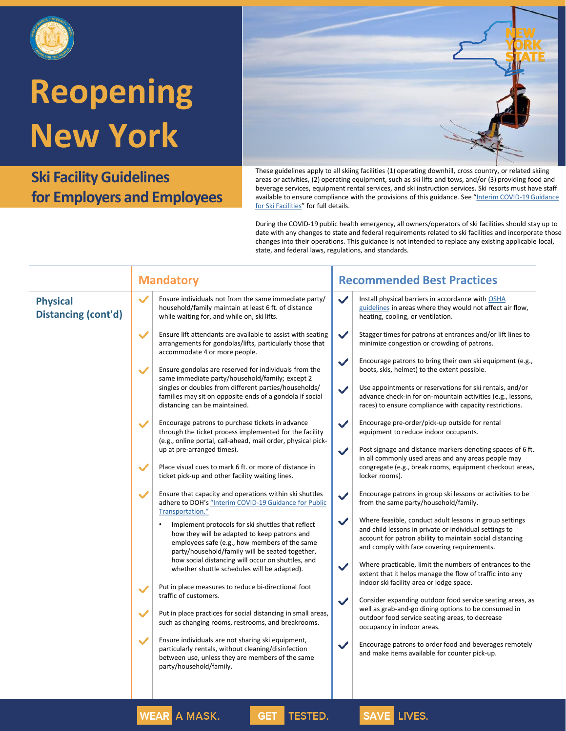

**Ski Facility Guidelines for Employers and Employees**



These guidelines apply to all skiing facilities (1) operating downhill, cross country, or related skiing areas or activities, (2) operating equipment, such as ski lifts and tows, and/or (3) providing food and beverage services, equipment rental services, and ski instruction services. Ski resorts must have staff [available to ensure compliance with the provisions of this guidance](https://www.governor.ny.gov/sites/governor.ny.gov/files/atoms/files/Ski_Facilities_Master_Guidelines.pdf). See "Interim COVID-19 Guidance for Ski Facilities" for full details.

|                                               | <b>Mandatory</b>                                                                                                                                                                                                                                                                                                                                                                                                                                                                                                                                                                                                                                                                                                                                                                                                                                                                                                                                                                                                                                                                                                                                                                                                                                                                                                                                                                                                                                                                                                                                                                                                                                                                                                                            | <b>Recommended Best Practices</b>                                                                                                                                                                                                                                                                                                                                                                                                                                                                                                                                                                                                                                                                                                                                                                                                                                                                                                                                                                                                                                                                                                                                                                                                                                                                                                                                                                                                                                                                                                                                                                                                                                                                       |
|-----------------------------------------------|---------------------------------------------------------------------------------------------------------------------------------------------------------------------------------------------------------------------------------------------------------------------------------------------------------------------------------------------------------------------------------------------------------------------------------------------------------------------------------------------------------------------------------------------------------------------------------------------------------------------------------------------------------------------------------------------------------------------------------------------------------------------------------------------------------------------------------------------------------------------------------------------------------------------------------------------------------------------------------------------------------------------------------------------------------------------------------------------------------------------------------------------------------------------------------------------------------------------------------------------------------------------------------------------------------------------------------------------------------------------------------------------------------------------------------------------------------------------------------------------------------------------------------------------------------------------------------------------------------------------------------------------------------------------------------------------------------------------------------------------|---------------------------------------------------------------------------------------------------------------------------------------------------------------------------------------------------------------------------------------------------------------------------------------------------------------------------------------------------------------------------------------------------------------------------------------------------------------------------------------------------------------------------------------------------------------------------------------------------------------------------------------------------------------------------------------------------------------------------------------------------------------------------------------------------------------------------------------------------------------------------------------------------------------------------------------------------------------------------------------------------------------------------------------------------------------------------------------------------------------------------------------------------------------------------------------------------------------------------------------------------------------------------------------------------------------------------------------------------------------------------------------------------------------------------------------------------------------------------------------------------------------------------------------------------------------------------------------------------------------------------------------------------------------------------------------------------------|
| <b>Physical</b><br><b>Distancing (cont'd)</b> | $\checkmark$<br>Ensure individuals not from the same immediate party/<br>household/family maintain at least 6 ft. of distance<br>while waiting for, and while on, ski lifts.                                                                                                                                                                                                                                                                                                                                                                                                                                                                                                                                                                                                                                                                                                                                                                                                                                                                                                                                                                                                                                                                                                                                                                                                                                                                                                                                                                                                                                                                                                                                                                | $\checkmark$<br>Install physical barriers in accordance with OSHA<br>guidelines in areas where they would not affect air flow,<br>heating, cooling, or ventilation.                                                                                                                                                                                                                                                                                                                                                                                                                                                                                                                                                                                                                                                                                                                                                                                                                                                                                                                                                                                                                                                                                                                                                                                                                                                                                                                                                                                                                                                                                                                                     |
|                                               | $\checkmark$<br>Ensure lift attendants are available to assist with seating<br>arrangements for gondolas/lifts, particularly those that<br>accommodate 4 or more people.<br>$\checkmark$<br>Ensure gondolas are reserved for individuals from the<br>same immediate party/household/family; except 2<br>singles or doubles from different parties/households/<br>families may sit on opposite ends of a gondola if social<br>distancing can be maintained.<br>Encourage patrons to purchase tickets in advance<br>$\checkmark$<br>through the ticket process implemented for the facility<br>(e.g., online portal, call-ahead, mail order, physical pick-<br>up at pre-arranged times).<br>$\checkmark$<br>Place visual cues to mark 6 ft. or more of distance in<br>ticket pick-up and other facility waiting lines.<br>Ensure that capacity and operations within ski shuttles<br>$\checkmark$<br>adhere to DOH's "Interim COVID-19 Guidance for Public<br>Transportation."<br>Implement protocols for ski shuttles that reflect<br>how they will be adapted to keep patrons and<br>employees safe (e.g., how members of the same<br>party/household/family will be seated together,<br>how social distancing will occur on shuttles, and<br>whether shuttle schedules will be adapted).<br>Put in place measures to reduce bi-directional foot<br>$\checkmark$<br>traffic of customers.<br>$\checkmark$<br>Put in place practices for social distancing in small areas,<br>such as changing rooms, restrooms, and breakrooms.<br>$\checkmark$<br>Ensure individuals are not sharing ski equipment,<br>particularly rentals, without cleaning/disinfection<br>between use, unless they are members of the same<br>party/household/family. | $\checkmark$<br>Stagger times for patrons at entrances and/or lift lines to<br>minimize congestion or crowding of patrons.<br>$\checkmark$<br>Encourage patrons to bring their own ski equipment (e.g.,<br>boots, skis, helmet) to the extent possible.<br>Use appointments or reservations for ski rentals, and/or<br>$\checkmark$<br>advance check-in for on-mountain activities (e.g., lessons,<br>races) to ensure compliance with capacity restrictions.<br>$\checkmark$<br>Encourage pre-order/pick-up outside for rental<br>equipment to reduce indoor occupants.<br>Post signage and distance markers denoting spaces of 6 ft.<br>$\checkmark$<br>in all commonly used areas and any areas people may<br>congregate (e.g., break rooms, equipment checkout areas,<br>locker rooms).<br>Encourage patrons in group ski lessons or activities to be<br>$\checkmark$<br>from the same party/household/family.<br>$\checkmark$<br>Where feasible, conduct adult lessons in group settings<br>and child lessons in private or individual settings to<br>account for patron ability to maintain social distancing<br>and comply with face covering requirements.<br>Where practicable, limit the numbers of entrances to the<br>$\checkmark$<br>extent that it helps manage the flow of traffic into any<br>indoor ski facility area or lodge space.<br>$\checkmark$<br>Consider expanding outdoor food service seating areas, as<br>well as grab-and-go dining options to be consumed in<br>outdoor food service seating areas, to decrease<br>occupancy in indoor areas.<br>$\checkmark$<br>Encourage patrons to order food and beverages remotely<br>and make items available for counter pick-up. |
|                                               | WEAR A MACK<br>TECTER                                                                                                                                                                                                                                                                                                                                                                                                                                                                                                                                                                                                                                                                                                                                                                                                                                                                                                                                                                                                                                                                                                                                                                                                                                                                                                                                                                                                                                                                                                                                                                                                                                                                                                                       | $CAN/E$ IN/CC                                                                                                                                                                                                                                                                                                                                                                                                                                                                                                                                                                                                                                                                                                                                                                                                                                                                                                                                                                                                                                                                                                                                                                                                                                                                                                                                                                                                                                                                                                                                                                                                                                                                                           |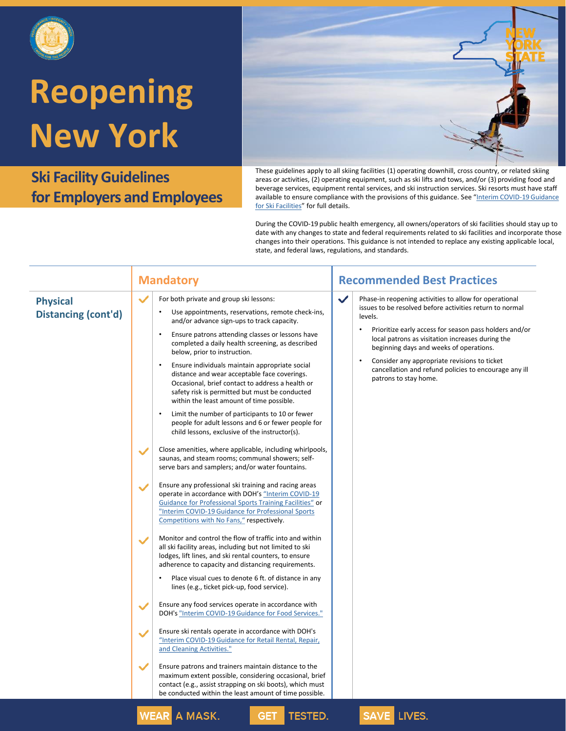

**Ski Facility Guidelines for Employers and Employees**



These guidelines apply to all skiing facilities (1) operating downhill, cross country, or related skiing areas or activities, (2) operating equipment, such as ski lifts and tows, and/or (3) providing food and beverage services, equipment rental services, and ski instruction services. Ski resorts must have staff [available to ensure compliance with the provisions of this guidance](https://www.governor.ny.gov/sites/governor.ny.gov/files/atoms/files/Ski_Facilities_Master_Guidelines.pdf). See "Interim COVID-19 Guidance for Ski Facilities" for full details.

|                                               | <b>Mandatory</b>                                                                                                                                                                                                                                                                                                                                           | <b>Recommended Best Practices</b>                                                                                                                                                                                                                                                                      |
|-----------------------------------------------|------------------------------------------------------------------------------------------------------------------------------------------------------------------------------------------------------------------------------------------------------------------------------------------------------------------------------------------------------------|--------------------------------------------------------------------------------------------------------------------------------------------------------------------------------------------------------------------------------------------------------------------------------------------------------|
| <b>Physical</b><br><b>Distancing (cont'd)</b> | $\checkmark$<br>For both private and group ski lessons:<br>Use appointments, reservations, remote check-ins,<br>and/or advance sign-ups to track capacity.<br>Ensure patrons attending classes or lessons have<br>$\bullet$<br>completed a daily health screening, as described<br>below, prior to instruction.                                            | $\checkmark$<br>Phase-in reopening activities to allow for operational<br>issues to be resolved before activities return to normal<br>levels.<br>Prioritize early access for season pass holders and/or<br>local patrons as visitation increases during the<br>beginning days and weeks of operations. |
|                                               | Ensure individuals maintain appropriate social<br>$\bullet$<br>distance and wear acceptable face coverings.<br>Occasional, brief contact to address a health or<br>safety risk is permitted but must be conducted<br>within the least amount of time possible.                                                                                             | Consider any appropriate revisions to ticket<br>$\bullet$<br>cancellation and refund policies to encourage any ill<br>patrons to stay home.                                                                                                                                                            |
|                                               | Limit the number of participants to 10 or fewer<br>$\bullet$<br>people for adult lessons and 6 or fewer people for<br>child lessons, exclusive of the instructor(s).                                                                                                                                                                                       |                                                                                                                                                                                                                                                                                                        |
|                                               | Close amenities, where applicable, including whirlpools,<br>$\checkmark$<br>saunas, and steam rooms; communal showers; self-<br>serve bars and samplers; and/or water fountains.                                                                                                                                                                           |                                                                                                                                                                                                                                                                                                        |
|                                               | Ensure any professional ski training and racing areas<br>$\checkmark$<br>operate in accordance with DOH's "Interim COVID-19<br>Guidance for Professional Sports Training Facilities" or<br>"Interim COVID-19 Guidance for Professional Sports<br>Competitions with No Fans," respectively.                                                                 |                                                                                                                                                                                                                                                                                                        |
|                                               | Monitor and control the flow of traffic into and within<br>$\checkmark$<br>all ski facility areas, including but not limited to ski<br>lodges, lift lines, and ski rental counters, to ensure<br>adherence to capacity and distancing requirements.<br>Place visual cues to denote 6 ft. of distance in any<br>lines (e.g., ticket pick-up, food service). |                                                                                                                                                                                                                                                                                                        |
|                                               | Ensure any food services operate in accordance with<br>$\checkmark$<br>DOH's "Interim COVID-19 Guidance for Food Services."                                                                                                                                                                                                                                |                                                                                                                                                                                                                                                                                                        |
|                                               | Ensure ski rentals operate in accordance with DOH's<br>$\checkmark$<br>"Interim COVID-19 Guidance for Retail Rental, Repair,<br>and Cleaning Activities."                                                                                                                                                                                                  |                                                                                                                                                                                                                                                                                                        |
|                                               | $\checkmark$<br>Ensure patrons and trainers maintain distance to the<br>maximum extent possible, considering occasional, brief<br>contact (e.g., assist strapping on ski boots), which must<br>be conducted within the least amount of time possible.                                                                                                      |                                                                                                                                                                                                                                                                                                        |
|                                               | <b>WEAR A MASK.</b><br><b>TESTED.</b><br><b>GET</b>                                                                                                                                                                                                                                                                                                        | SAVE LIVES.                                                                                                                                                                                                                                                                                            |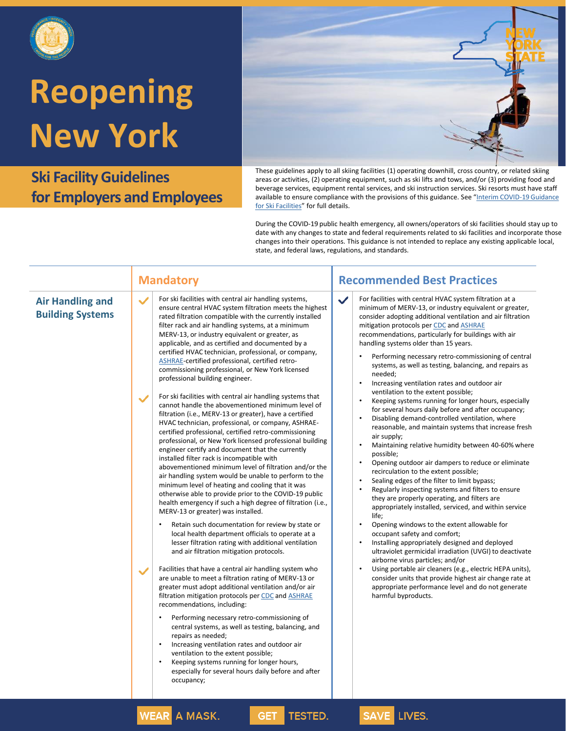

**Ski Facility Guidelines for Employers and Employees**



These guidelines apply to all skiing facilities (1) operating downhill, cross country, or related skiing areas or activities, (2) operating equipment, such as ski lifts and tows, and/or (3) providing food and beverage services, equipment rental services, and ski instruction services. Ski resorts must have staff [available to ensure compliance with the provisions of this guidance](https://www.governor.ny.gov/sites/governor.ny.gov/files/atoms/files/Ski_Facilities_Master_Guidelines.pdf). See "Interim COVID-19 Guidance for Ski Facilities" for full details.

|                                                                                                    | <b>Mandatory</b>                                                                                                                                                                                                                                                                                                                                                                                                                                                                                                                                                                                                                                                                                                                                                                                                                                                                                                                                                                                                                                                                                                                                                                                                                                                                                                                                                                                                                                                                                                                                                                                                                                                                                                                                                                                                                                                                                                                                                                                                                                                                                                                                                                                                      | <b>Recommended Best Practices</b>                                                                                                                                                                                                                                                                                                                                                                                                                                                                                                                                                                                                                                                                                                                                                                                                                                                                                                                                                                                                                                                                                                                                                                                                                                                                                                                                                                                                                                                                                                                                                                                                                |
|----------------------------------------------------------------------------------------------------|-----------------------------------------------------------------------------------------------------------------------------------------------------------------------------------------------------------------------------------------------------------------------------------------------------------------------------------------------------------------------------------------------------------------------------------------------------------------------------------------------------------------------------------------------------------------------------------------------------------------------------------------------------------------------------------------------------------------------------------------------------------------------------------------------------------------------------------------------------------------------------------------------------------------------------------------------------------------------------------------------------------------------------------------------------------------------------------------------------------------------------------------------------------------------------------------------------------------------------------------------------------------------------------------------------------------------------------------------------------------------------------------------------------------------------------------------------------------------------------------------------------------------------------------------------------------------------------------------------------------------------------------------------------------------------------------------------------------------------------------------------------------------------------------------------------------------------------------------------------------------------------------------------------------------------------------------------------------------------------------------------------------------------------------------------------------------------------------------------------------------------------------------------------------------------------------------------------------------|--------------------------------------------------------------------------------------------------------------------------------------------------------------------------------------------------------------------------------------------------------------------------------------------------------------------------------------------------------------------------------------------------------------------------------------------------------------------------------------------------------------------------------------------------------------------------------------------------------------------------------------------------------------------------------------------------------------------------------------------------------------------------------------------------------------------------------------------------------------------------------------------------------------------------------------------------------------------------------------------------------------------------------------------------------------------------------------------------------------------------------------------------------------------------------------------------------------------------------------------------------------------------------------------------------------------------------------------------------------------------------------------------------------------------------------------------------------------------------------------------------------------------------------------------------------------------------------------------------------------------------------------------|
| $\checkmark$<br><b>Air Handling and</b><br><b>Building Systems</b><br>$\checkmark$<br>$\checkmark$ | For ski facilities with central air handling systems,<br>ensure central HVAC system filtration meets the highest<br>rated filtration compatible with the currently installed<br>filter rack and air handling systems, at a minimum<br>MERV-13, or industry equivalent or greater, as<br>applicable, and as certified and documented by a<br>certified HVAC technician, professional, or company,<br>ASHRAE-certified professional, certified retro-<br>commissioning professional, or New York licensed<br>professional building engineer.<br>For ski facilities with central air handling systems that<br>cannot handle the abovementioned minimum level of<br>filtration (i.e., MERV-13 or greater), have a certified<br>HVAC technician, professional, or company, ASHRAE-<br>certified professional, certified retro-commissioning<br>professional, or New York licensed professional building<br>engineer certify and document that the currently<br>installed filter rack is incompatible with<br>abovementioned minimum level of filtration and/or the<br>air handling system would be unable to perform to the<br>minimum level of heating and cooling that it was<br>otherwise able to provide prior to the COVID-19 public<br>health emergency if such a high degree of filtration (i.e.,<br>MERV-13 or greater) was installed.<br>Retain such documentation for review by state or<br>$\bullet$<br>local health department officials to operate at a<br>lesser filtration rating with additional ventilation<br>and air filtration mitigation protocols.<br>Facilities that have a central air handling system who<br>are unable to meet a filtration rating of MERV-13 or<br>greater must adopt additional ventilation and/or air<br>filtration mitigation protocols per CDC and <b>ASHRAE</b><br>recommendations, including:<br>Performing necessary retro-commissioning of<br>$\bullet$<br>central systems, as well as testing, balancing, and<br>repairs as needed;<br>Increasing ventilation rates and outdoor air<br>$\bullet$<br>ventilation to the extent possible;<br>Keeping systems running for longer hours,<br>$\bullet$<br>especially for several hours daily before and after<br>occupancy; | For facilities with central HVAC system filtration at a<br>$\checkmark$<br>minimum of MERV-13, or industry equivalent or greater,<br>consider adopting additional ventilation and air filtration<br>mitigation protocols per CDC and ASHRAE<br>recommendations, particularly for buildings with air<br>handling systems older than 15 years.<br>Performing necessary retro-commissioning of central<br>systems, as well as testing, balancing, and repairs as<br>needed;<br>Increasing ventilation rates and outdoor air<br>ventilation to the extent possible;<br>Keeping systems running for longer hours, especially<br>for several hours daily before and after occupancy;<br>Disabling demand-controlled ventilation, where<br>reasonable, and maintain systems that increase fresh<br>air supply;<br>Maintaining relative humidity between 40-60% where<br>$\bullet$<br>possible;<br>Opening outdoor air dampers to reduce or eliminate<br>recirculation to the extent possible;<br>Sealing edges of the filter to limit bypass;<br>Regularly inspecting systems and filters to ensure<br>they are properly operating, and filters are<br>appropriately installed, serviced, and within service<br>life;<br>Opening windows to the extent allowable for<br>occupant safety and comfort;<br>Installing appropriately designed and deployed<br>ultraviolet germicidal irradiation (UVGI) to deactivate<br>airborne virus particles; and/or<br>Using portable air cleaners (e.g., electric HEPA units),<br>consider units that provide highest air change rate at<br>appropriate performance level and do not generate<br>harmful byproducts. |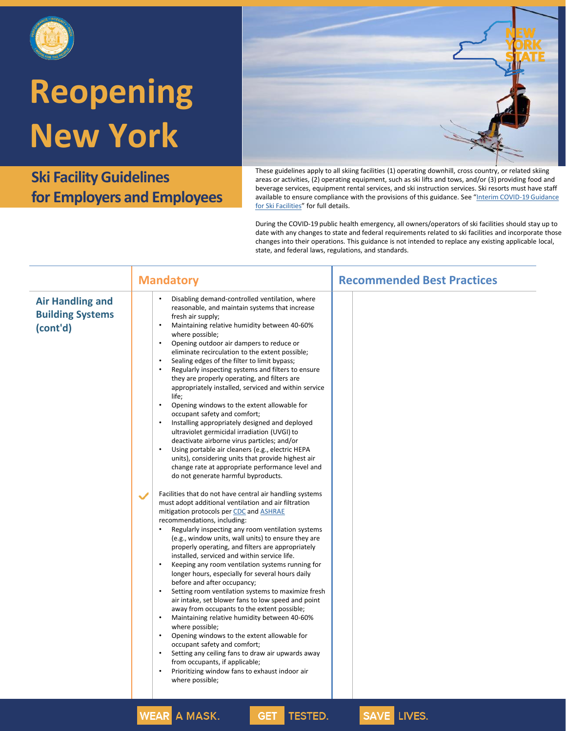

**Ski Facility Guidelines for Employers and Employees**



These guidelines apply to all skiing facilities (1) operating downhill, cross country, or related skiing areas or activities, (2) operating equipment, such as ski lifts and tows, and/or (3) providing food and beverage services, equipment rental services, and ski instruction services. Ski resorts must have staff [available to ensure compliance with the provisions of this guidance](https://www.governor.ny.gov/sites/governor.ny.gov/files/atoms/files/Ski_Facilities_Master_Guidelines.pdf). See "Interim COVID-19 Guidance for Ski Facilities" for full details.

|                                                                | <b>Mandatory</b>                                                                                                                                                                                                                                                                                                                                                                                                                                                                                                                                                                                                                                                                                                                                                                                                                                                                                                                                                                                                                                                                                                                       | <b>Recommended Best Practices</b> |
|----------------------------------------------------------------|----------------------------------------------------------------------------------------------------------------------------------------------------------------------------------------------------------------------------------------------------------------------------------------------------------------------------------------------------------------------------------------------------------------------------------------------------------------------------------------------------------------------------------------------------------------------------------------------------------------------------------------------------------------------------------------------------------------------------------------------------------------------------------------------------------------------------------------------------------------------------------------------------------------------------------------------------------------------------------------------------------------------------------------------------------------------------------------------------------------------------------------|-----------------------------------|
| <b>Air Handling and</b><br><b>Building Systems</b><br>(cont'd) | Disabling demand-controlled ventilation, where<br>reasonable, and maintain systems that increase<br>fresh air supply;<br>Maintaining relative humidity between 40-60%<br>$\bullet$<br>where possible;<br>Opening outdoor air dampers to reduce or<br>$\bullet$<br>eliminate recirculation to the extent possible;<br>Sealing edges of the filter to limit bypass;<br>Regularly inspecting systems and filters to ensure<br>$\bullet$<br>they are properly operating, and filters are<br>appropriately installed, serviced and within service<br>life;<br>$\bullet$<br>Opening windows to the extent allowable for<br>occupant safety and comfort;<br>$\bullet$<br>Installing appropriately designed and deployed<br>ultraviolet germicidal irradiation (UVGI) to<br>deactivate airborne virus particles; and/or<br>Using portable air cleaners (e.g., electric HEPA<br>units), considering units that provide highest air<br>change rate at appropriate performance level and<br>do not generate harmful byproducts.                                                                                                                   |                                   |
|                                                                | Facilities that do not have central air handling systems<br>$\checkmark$<br>must adopt additional ventilation and air filtration<br>mitigation protocols per CDC and ASHRAE<br>recommendations, including:<br>$\bullet$<br>Regularly inspecting any room ventilation systems<br>(e.g., window units, wall units) to ensure they are<br>properly operating, and filters are appropriately<br>installed, serviced and within service life.<br>$\bullet$<br>Keeping any room ventilation systems running for<br>longer hours, especially for several hours daily<br>before and after occupancy;<br>$\bullet$<br>Setting room ventilation systems to maximize fresh<br>air intake, set blower fans to low speed and point<br>away from occupants to the extent possible;<br>$\bullet$<br>Maintaining relative humidity between 40-60%<br>where possible;<br>Opening windows to the extent allowable for<br>$\bullet$<br>occupant safety and comfort;<br>Setting any ceiling fans to draw air upwards away<br>$\bullet$<br>from occupants, if applicable;<br>Prioritizing window fans to exhaust indoor air<br>$\bullet$<br>where possible; |                                   |
|                                                                | <b>WEAD A MACK</b><br>TECTER<br>CET.                                                                                                                                                                                                                                                                                                                                                                                                                                                                                                                                                                                                                                                                                                                                                                                                                                                                                                                                                                                                                                                                                                   | CAVE IN/EC                        |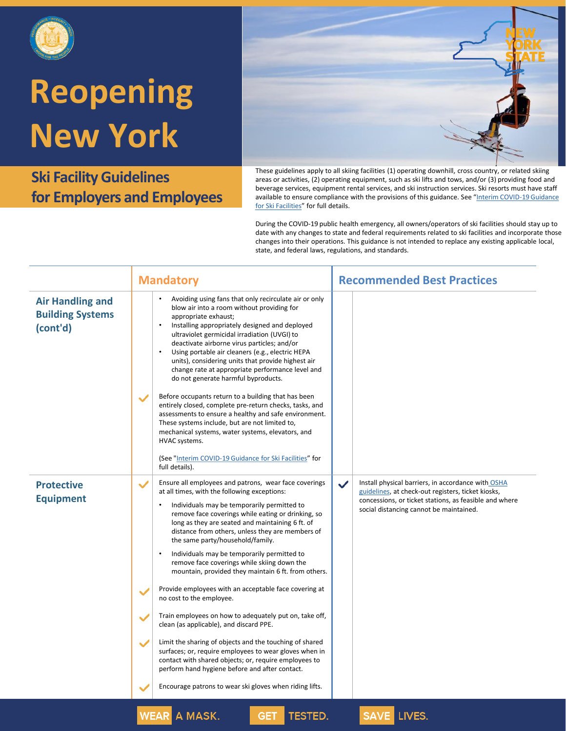

**Ski Facility Guidelines for Employers and Employees**



These guidelines apply to all skiing facilities (1) operating downhill, cross country, or related skiing areas or activities, (2) operating equipment, such as ski lifts and tows, and/or (3) providing food and beverage services, equipment rental services, and ski instruction services. Ski resorts must have staff [available to ensure compliance with the provisions of this guidance](https://www.governor.ny.gov/sites/governor.ny.gov/files/atoms/files/Ski_Facilities_Master_Guidelines.pdf). See "Interim COVID-19 Guidance for Ski Facilities" for full details.

| Avoiding using fans that only recirculate air or only<br><b>Air Handling and</b><br>blow air into a room without providing for<br><b>Building Systems</b><br>appropriate exhaust;<br>Installing appropriately designed and deployed<br>$\bullet$<br>(cont'd)<br>ultraviolet germicidal irradiation (UVGI) to<br>deactivate airborne virus particles; and/or<br>Using portable air cleaners (e.g., electric HEPA<br>$\bullet$<br>units), considering units that provide highest air<br>change rate at appropriate performance level and<br>do not generate harmful byproducts.<br>Before occupants return to a building that has been<br>$\checkmark$<br>entirely closed, complete pre-return checks, tasks, and<br>assessments to ensure a healthy and safe environment.<br>These systems include, but are not limited to,<br>mechanical systems, water systems, elevators, and<br>HVAC systems.<br>(See "Interim COVID-19 Guidance for Ski Facilities" for<br>full details).<br>Ensure all employees and patrons, wear face coverings<br>Install physical barriers, in accordance with OSHA<br><b>Protective</b><br>$\checkmark$<br>$\checkmark$<br>at all times, with the following exceptions:<br>guidelines, at check-out registers, ticket kiosks,<br><b>Equipment</b><br>concessions, or ticket stations, as feasible and where<br>Individuals may be temporarily permitted to<br>٠<br>social distancing cannot be maintained.<br>remove face coverings while eating or drinking, so<br>long as they are seated and maintaining 6 ft. of<br>distance from others, unless they are members of<br>the same party/household/family.<br>Individuals may be temporarily permitted to<br>$\bullet$<br>remove face coverings while skiing down the<br>mountain, provided they maintain 6 ft. from others.<br>Provide employees with an acceptable face covering at<br>no cost to the employee.<br>Train employees on how to adequately put on, take off,<br>clean (as applicable), and discard PPE.<br>Limit the sharing of objects and the touching of shared<br>$\checkmark$<br>surfaces; or, require employees to wear gloves when in<br>contact with shared objects; or, require employees to<br>perform hand hygiene before and after contact.<br>Encourage patrons to wear ski gloves when riding lifts. | <b>Mandatory</b> | <b>Recommended Best Practices</b> |
|---------------------------------------------------------------------------------------------------------------------------------------------------------------------------------------------------------------------------------------------------------------------------------------------------------------------------------------------------------------------------------------------------------------------------------------------------------------------------------------------------------------------------------------------------------------------------------------------------------------------------------------------------------------------------------------------------------------------------------------------------------------------------------------------------------------------------------------------------------------------------------------------------------------------------------------------------------------------------------------------------------------------------------------------------------------------------------------------------------------------------------------------------------------------------------------------------------------------------------------------------------------------------------------------------------------------------------------------------------------------------------------------------------------------------------------------------------------------------------------------------------------------------------------------------------------------------------------------------------------------------------------------------------------------------------------------------------------------------------------------------------------------------------------------------------------------------------------------------------------------------------------------------------------------------------------------------------------------------------------------------------------------------------------------------------------------------------------------------------------------------------------------------------------------------------------------------------------------------------------------------------------------------------------------------------------|------------------|-----------------------------------|
|                                                                                                                                                                                                                                                                                                                                                                                                                                                                                                                                                                                                                                                                                                                                                                                                                                                                                                                                                                                                                                                                                                                                                                                                                                                                                                                                                                                                                                                                                                                                                                                                                                                                                                                                                                                                                                                                                                                                                                                                                                                                                                                                                                                                                                                                                                               |                  |                                   |
|                                                                                                                                                                                                                                                                                                                                                                                                                                                                                                                                                                                                                                                                                                                                                                                                                                                                                                                                                                                                                                                                                                                                                                                                                                                                                                                                                                                                                                                                                                                                                                                                                                                                                                                                                                                                                                                                                                                                                                                                                                                                                                                                                                                                                                                                                                               |                  |                                   |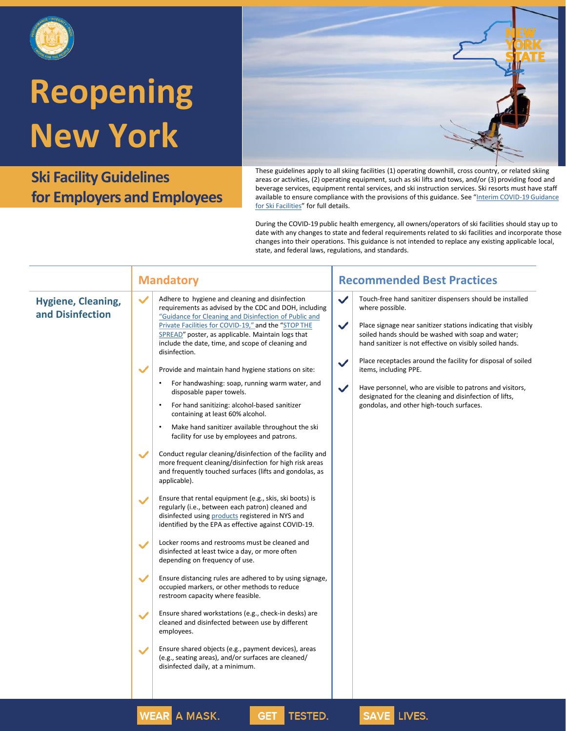

**Ski Facility Guidelines for Employers and Employees**



These guidelines apply to all skiing facilities (1) operating downhill, cross country, or related skiing areas or activities, (2) operating equipment, such as ski lifts and tows, and/or (3) providing food and beverage services, equipment rental services, and ski instruction services. Ski resorts must have staff [available to ensure compliance with the provisions of this guidance](https://www.governor.ny.gov/sites/governor.ny.gov/files/atoms/files/Ski_Facilities_Master_Guidelines.pdf). See "Interim COVID-19 Guidance for Ski Facilities" for full details.

|                                               | <b>Mandatory</b>                                                                                                                                                                                                                                                                                                                                                                                                                                                                                                                                                                                                                                                                                                                                                                                                                                                                                                               | <b>Recommended Best Practices</b>                                                                                                                                                                                                                                                                                                                                                                                                                                                                                                                                                         |
|-----------------------------------------------|--------------------------------------------------------------------------------------------------------------------------------------------------------------------------------------------------------------------------------------------------------------------------------------------------------------------------------------------------------------------------------------------------------------------------------------------------------------------------------------------------------------------------------------------------------------------------------------------------------------------------------------------------------------------------------------------------------------------------------------------------------------------------------------------------------------------------------------------------------------------------------------------------------------------------------|-------------------------------------------------------------------------------------------------------------------------------------------------------------------------------------------------------------------------------------------------------------------------------------------------------------------------------------------------------------------------------------------------------------------------------------------------------------------------------------------------------------------------------------------------------------------------------------------|
| <b>Hygiene, Cleaning,</b><br>and Disinfection | $\checkmark$<br>Adhere to hygiene and cleaning and disinfection<br>requirements as advised by the CDC and DOH, including<br>"Guidance for Cleaning and Disinfection of Public and<br>Private Facilities for COVID-19," and the "STOP THE<br>SPREAD" poster, as applicable. Maintain logs that<br>include the date, time, and scope of cleaning and<br>disinfection.<br>Provide and maintain hand hygiene stations on site:<br>For handwashing: soap, running warm water, and<br>disposable paper towels.<br>For hand sanitizing: alcohol-based sanitizer<br>containing at least 60% alcohol.<br>Make hand sanitizer available throughout the ski<br>$\bullet$<br>facility for use by employees and patrons.<br>Conduct regular cleaning/disinfection of the facility and<br>$\checkmark$<br>more frequent cleaning/disinfection for high risk areas<br>and frequently touched surfaces (lifts and gondolas, as<br>applicable). | $\checkmark$<br>Touch-free hand sanitizer dispensers should be installed<br>where possible.<br>$\checkmark$<br>Place signage near sanitizer stations indicating that visibly<br>soiled hands should be washed with soap and water;<br>hand sanitizer is not effective on visibly soiled hands.<br>Place receptacles around the facility for disposal of soiled<br>$\checkmark$<br>items, including PPE.<br>$\checkmark$<br>Have personnel, who are visible to patrons and visitors,<br>designated for the cleaning and disinfection of lifts,<br>gondolas, and other high-touch surfaces. |
|                                               | Ensure that rental equipment (e.g., skis, ski boots) is<br>regularly (i.e., between each patron) cleaned and<br>disinfected using products registered in NYS and<br>identified by the EPA as effective against COVID-19.<br>Locker rooms and restrooms must be cleaned and<br>$\checkmark$<br>disinfected at least twice a day, or more often<br>depending on frequency of use.                                                                                                                                                                                                                                                                                                                                                                                                                                                                                                                                                |                                                                                                                                                                                                                                                                                                                                                                                                                                                                                                                                                                                           |
|                                               | Ensure distancing rules are adhered to by using signage,<br>$\checkmark$<br>occupied markers, or other methods to reduce<br>restroom capacity where feasible.<br>Ensure shared workstations (e.g., check-in desks) are<br>cleaned and disinfected between use by different<br>employees.<br>Ensure shared objects (e.g., payment devices), areas<br>(e.g., seating areas), and/or surfaces are cleaned/<br>disinfected daily, at a minimum.<br>$\frac{1}{2}$<br><b>TEATH</b><br>A BAACU                                                                                                                                                                                                                                                                                                                                                                                                                                        | $CAYF$ , $T$                                                                                                                                                                                                                                                                                                                                                                                                                                                                                                                                                                              |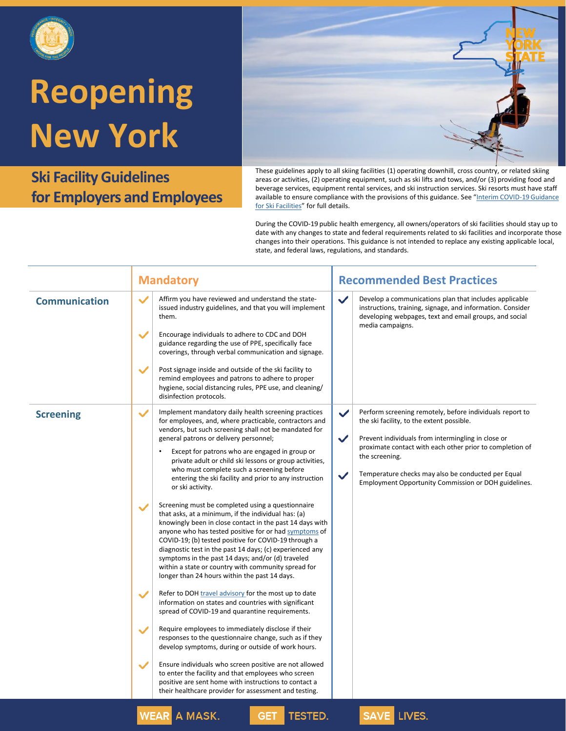

**Ski Facility Guidelines for Employers and Employees**



|                      | <b>Mandatory</b>                                                                                                                                                                                                                                                                                                                                                                                                                                                                                                                                                                                                                                                                                                                                                                                                                                                                                                                                                                                                                                                                                                                                                                                                                                                                                                                                                                                                                                                                                                                                                                                                                                                                          | <b>Recommended Best Practices</b>                                                                                                                                                                                                                                                                                                                       |
|----------------------|-------------------------------------------------------------------------------------------------------------------------------------------------------------------------------------------------------------------------------------------------------------------------------------------------------------------------------------------------------------------------------------------------------------------------------------------------------------------------------------------------------------------------------------------------------------------------------------------------------------------------------------------------------------------------------------------------------------------------------------------------------------------------------------------------------------------------------------------------------------------------------------------------------------------------------------------------------------------------------------------------------------------------------------------------------------------------------------------------------------------------------------------------------------------------------------------------------------------------------------------------------------------------------------------------------------------------------------------------------------------------------------------------------------------------------------------------------------------------------------------------------------------------------------------------------------------------------------------------------------------------------------------------------------------------------------------|---------------------------------------------------------------------------------------------------------------------------------------------------------------------------------------------------------------------------------------------------------------------------------------------------------------------------------------------------------|
| <b>Communication</b> | $\checkmark$<br>$\checkmark$<br>Affirm you have reviewed and understand the state-<br>issued industry guidelines, and that you will implement<br>them.<br>$\checkmark$<br>Encourage individuals to adhere to CDC and DOH<br>guidance regarding the use of PPE, specifically face<br>coverings, through verbal communication and signage.<br>$\checkmark$<br>Post signage inside and outside of the ski facility to<br>remind employees and patrons to adhere to proper<br>hygiene, social distancing rules, PPE use, and cleaning/<br>disinfection protocols.                                                                                                                                                                                                                                                                                                                                                                                                                                                                                                                                                                                                                                                                                                                                                                                                                                                                                                                                                                                                                                                                                                                             | Develop a communications plan that includes applicable<br>instructions, training, signage, and information. Consider<br>developing webpages, text and email groups, and social<br>media campaigns.                                                                                                                                                      |
| <b>Screening</b>     | Implement mandatory daily health screening practices<br>$\checkmark$<br>✓<br>for employees, and, where practicable, contractors and<br>vendors, but such screening shall not be mandated for<br>$\checkmark$<br>general patrons or delivery personnel;<br>Except for patrons who are engaged in group or<br>$\bullet$<br>private adult or child ski lessons or group activities,<br>who must complete such a screening before<br>$\checkmark$<br>entering the ski facility and prior to any instruction<br>or ski activity.<br>Screening must be completed using a questionnaire<br>$\checkmark$<br>that asks, at a minimum, if the individual has: (a)<br>knowingly been in close contact in the past 14 days with<br>anyone who has tested positive for or had symptoms of<br>COVID-19; (b) tested positive for COVID-19 through a<br>diagnostic test in the past 14 days; (c) experienced any<br>symptoms in the past 14 days; and/or (d) traveled<br>within a state or country with community spread for<br>longer than 24 hours within the past 14 days.<br>Refer to DOH travel advisory for the most up to date<br>$\checkmark$<br>information on states and countries with significant<br>spread of COVID-19 and quarantine requirements.<br>Require employees to immediately disclose if their<br>$\checkmark$<br>responses to the questionnaire change, such as if they<br>develop symptoms, during or outside of work hours.<br>$\checkmark$<br>Ensure individuals who screen positive are not allowed<br>to enter the facility and that employees who screen<br>positive are sent home with instructions to contact a<br>their healthcare provider for assessment and testing. | Perform screening remotely, before individuals report to<br>the ski facility, to the extent possible.<br>Prevent individuals from intermingling in close or<br>proximate contact with each other prior to completion of<br>the screening.<br>Temperature checks may also be conducted per Equal<br>Employment Opportunity Commission or DOH guidelines. |